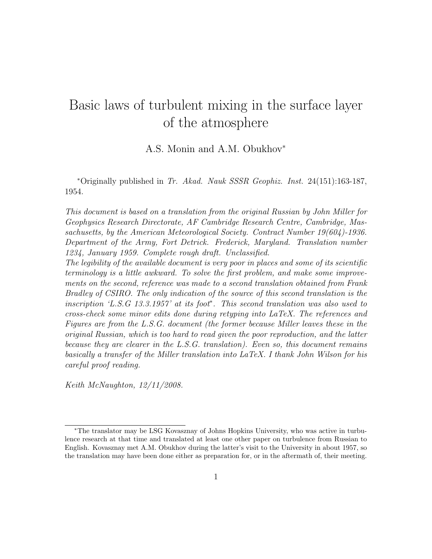# Basic laws of turbulent mixing in the surface layer of the atmosphere

A.S. Monin and A.M. Obukhov<sup>∗</sup>

<sup>∗</sup>Originally published in Tr. Akad. Nauk SSSR Geophiz. Inst. 24(151):163-187, 1954.

This document is based on a translation from the original Russian by John Miller for Geophysics Research Directorate, AF Cambridge Research Centre, Cambridge, Massachusetts, by the American Meteorological Society. Contract Number 19(604)-1936. Department of the Army, Fort Detrick. Frederick, Maryland. Translation number 1234, January 1959. Complete rough draft. Unclassified.

The legibility of the available document is very poor in places and some of its scientific terminology is a little awkward. To solve the first problem, and make some improvements on the second, reference was made to a second translation obtained from Frank Bradley of CSIRO. The only indication of the source of this second translation is the inscription 'L.S.G 13.3.1957' at its foot<sup>∗</sup> . This second translation was also used to cross-check some minor edits done during retyping into LaTeX. The references and Figures are from the L.S.G. document (the former because Miller leaves these in the original Russian, which is too hard to read given the poor reproduction, and the latter because they are clearer in the L.S.G. translation). Even so, this document remains basically a transfer of the Miller translation into LaTeX. I thank John Wilson for his careful proof reading.

Keith McNaughton, 12/11/2008.

<sup>∗</sup>The translator may be LSG Kovasznay of Johns Hopkins University, who was active in turbulence research at that time and translated at least one other paper on turbulence from Russian to English. Kovasznay met A.M. Obukhov during the latter's visit to the University in about 1957, so the translation may have been done either as preparation for, or in the aftermath of, their meeting.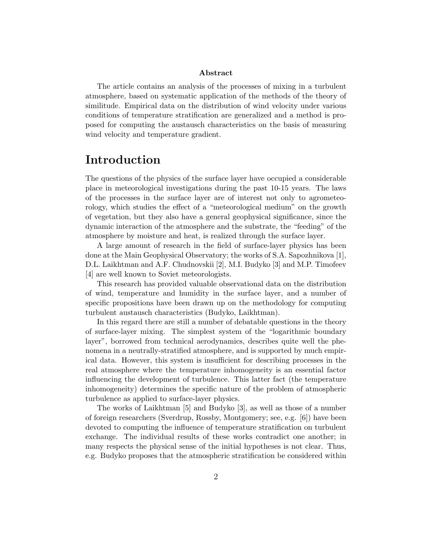#### Abstract

The article contains an analysis of the processes of mixing in a turbulent atmosphere, based on systematic application of the methods of the theory of similitude. Empirical data on the distribution of wind velocity under various conditions of temperature stratification are generalized and a method is proposed for computing the austausch characteristics on the basis of measuring wind velocity and temperature gradient.

### Introduction

The questions of the physics of the surface layer have occupied a considerable place in meteorological investigations during the past 10-15 years. The laws of the processes in the surface layer are of interest not only to agrometeorology, which studies the effect of a "meteorological medium" on the growth of vegetation, but they also have a general geophysical significance, since the dynamic interaction of the atmosphere and the substrate, the "feeding" of the atmosphere by moisture and heat, is realized through the surface layer.

A large amount of research in the field of surface-layer physics has been done at the Main Geophysical Observatory; the works of S.A. Sapozhnikova [1], D.L. Laikhtman and A.F. Chudnovskii [2], M.I. Budyko [3] and M.P. Timofeev [4] are well known to Soviet meteorologists.

This research has provided valuable observational data on the distribution of wind, temperature and humidity in the surface layer, and a number of specific propositions have been drawn up on the methodology for computing turbulent austausch characteristics (Budyko, Laikhtman).

In this regard there are still a number of debatable questions in the theory of surface-layer mixing. The simplest system of the "logarithmic boundary layer", borrowed from technical aerodynamics, describes quite well the phenomena in a neutrally-stratified atmosphere, and is supported by much empirical data. However, this system is insufficient for describing processes in the real atmosphere where the temperature inhomogeneity is an essential factor influencing the development of turbulence. This latter fact (the temperature inhomogeneity) determines the specific nature of the problem of atmospheric turbulence as applied to surface-layer physics.

The works of Laikhtman [5] and Budyko [3], as well as those of a number of foreign researchers (Sverdrup, Rossby, Montgomery; see, e.g. [6]) have been devoted to computing the influence of temperature stratification on turbulent exchange. The individual results of these works contradict one another; in many respects the physical sense of the initial hypotheses is not clear. Thus, e.g. Budyko proposes that the atmospheric stratification be considered within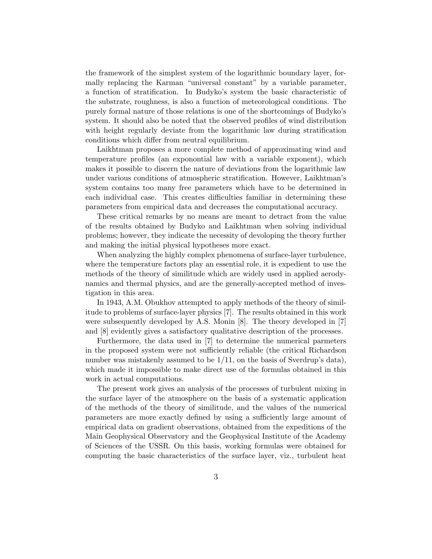the framework of the simplest system of the logarithmic boundary layer, formally replacing the Karman "universal constant" by a variable parameter, a function of stratification. In Budyko's system the basic characteristic of the substrate, roughness, is also a function of meteorological conditions. The purely formal nature of those relations is one of the shortcomings of Budyko's system. It should also be noted that the observed profiles of wind distribution with height regularly deviate from the logarithmic law during stratification conditions which differ from neutral equilibrium.

Laikhtman proposes a more complete method of approximating wind and temperature profiles (an exponontial law with a variable exponent), which makes it possible to discern the nature of deviations from the logarithmic law under various conditions of atmospheric stratification. However, Laikhtman's system contains too many free parameters which have to be determined in each individual case. This creates difficulties familiar in determining these parameters from empirical data and decreases the computational accuracy.

These critical remarks by no means are meant to detract from the value of the results obtained by Budyko and Laikhtman when solving individual problems; however, they indicate the necessity of devoloping the theory further and making the initial physical hypotheses more exact.

When analyzing the highly complex phenomena of surface-layer turbulence, where the temperature factors play an essential role, it is expedient to use the methods of the theory of similitude which are widely used in applied aerodynamics and thermal physics, and are the generally-accepted method of investigation in this area.

In 1943, A.M. Obukhov attempted to apply methods of the theory of similitude to problems of surface-layer physics [7]. The results obtained in this work were subsequently developed by A.S. Monin [8]. The theory developed in [7] and [8] evidently gives a satisfactory qualitative description of the processes.

Furthermore, the data used in [7] to determine the numerical parmeters in the proposed system were not sufficiently reliable (the critical Richardson number was mistakenly assumed to be  $1/11$ , on the basis of Sverdrup's data), which made it impossible to make direct use of the formulas obtained in this work in actual computations.

The present work gives an analysis of the processes of turbulent mixing in the surface layer of the atmosphere on the basis of a systematic application of the methods of the theory of similitude, and the values of the numerical parameters are more exactly defined by using a sufficiently large amount of empirical data on gradient observations, obtained from the expeditions of the Main Geophysical Observatory and the Geophysical Institute of the Academy of Sciences of the USSR. On this basis, working formulas were obtained for computing the basic characteristics of the surface layer, viz., turbulent heat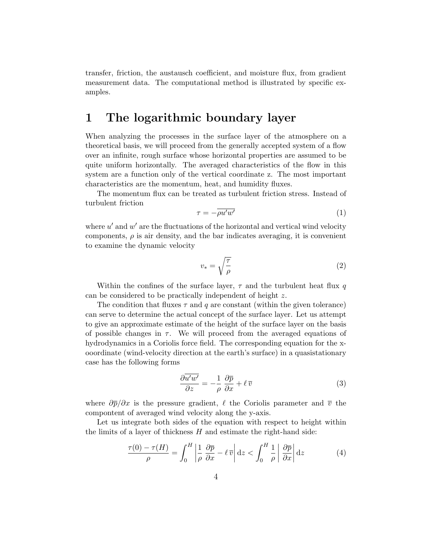transfer, friction, the austausch coefficient, and moisture flux, from gradient measurement data. The computational method is illustrated by specific examples.

#### 1 The logarithmic boundary layer

When analyzing the processes in the surface layer of the atmosphere on a theoretical basis, we will proceed from the generally accepted system of a flow over an infinite, rough surface whose horizontal properties are assumed to be quite uniform horizontally. The averaged characteristics of the flow in this system are a function only of the vertical coordinate z. The most important characteristics are the momentum, heat, and humidity fluxes.

The momentum flux can be treated as turbulent friction stress. Instead of turbulent friction

$$
\tau = -\overline{\rho u' w'}\tag{1}
$$

where  $u'$  and  $w'$  are the fluctuations of the horizontal and vertical wind velocity components,  $\rho$  is air density, and the bar indicates averaging, it is convenient to examine the dynamic velocity

$$
v_* = \sqrt{\frac{\tau}{\rho}}\tag{2}
$$

Within the confines of the surface layer,  $\tau$  and the turbulent heat flux q can be considered to be practically independent of height z.

The condition that fluxes  $\tau$  and q are constant (within the given tolerance) can serve to determine the actual concept of the surface layer. Let us attempt to give an approximate estimate of the height of the surface layer on the basis of possible changes in  $\tau$ . We will proceed from the averaged equations of hydrodynamics in a Coriolis force field. The corresponding equation for the xooordinate (wind-velocity direction at the earth's surface) in a quasistationary case has the following forms

$$
\frac{\partial \overline{u'w'}}{\partial z} = -\frac{1}{\rho} \frac{\partial \overline{p}}{\partial x} + \ell \,\overline{v} \tag{3}
$$

where  $\frac{\partial \overline{p}}{\partial x}$  is the pressure gradient,  $\ell$  the Coriolis parameter and  $\overline{v}$  the compontent of averaged wind velocity along the y-axis.

Let us integrate both sides of the equation with respect to height within the limits of a layer of thickness  $H$  and estimate the right-hand side:

$$
\frac{\tau(0) - \tau(H)}{\rho} = \int_0^H \left| \frac{1}{\rho} \frac{\partial \overline{p}}{\partial x} - \ell \, \overline{v} \right| dz < \int_0^H \frac{1}{\rho} \left| \frac{\partial \overline{p}}{\partial x} \right| dz \tag{4}
$$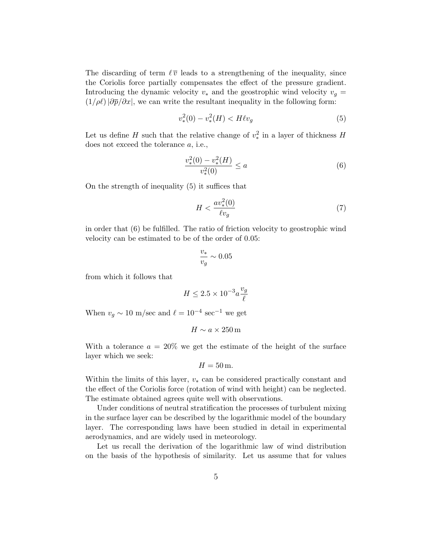The discarding of term  $\ell \bar{v}$  leads to a strengthening of the inequality, since the Coriolis force partially compensates the effect of the pressure gradient. Introducing the dynamic velocity  $v_*$  and the geostrophic wind velocity  $v_g$  =  $(1/\rho\ell)|\partial \overline{p}/\partial x|$ , we can write the resultant inequality in the following form:

$$
v_*^2(0) - v_*^2(H) < H \ell v_g \tag{5}
$$

Let us define H such that the relative change of  $v_*^2$  in a layer of thickness H does not exceed the tolerance a, i.e.,

$$
\frac{v_*^2(0) - v_*^2(H)}{v_*^2(0)} \le a \tag{6}
$$

On the strength of inequality (5) it suffices that

$$
H < \frac{av_*^2(0)}{\ell v_g} \tag{7}
$$

in order that (6) be fulfilled. The ratio of friction velocity to geostrophic wind velocity can be estimated to be of the order of 0.05:

$$
\frac{v_*}{v_g} \sim 0.05
$$

from which it follows that

$$
H \leq 2.5 \times 10^{-3} a \frac{v_g}{\ell}
$$

When  $v_g \sim 10 \text{ m/sec}$  and  $\ell = 10^{-4} \text{ sec}^{-1}$  we get

$$
H \sim a \times 250\,\mathrm{m}
$$

With a tolerance  $a = 20\%$  we get the estimate of the height of the surface layer which we seek:

$$
H=50\,\mathrm{m}.
$$

Within the limits of this layer,  $v_*$  can be considered practically constant and the effect of the Coriolis force (rotation of wind with height) can be neglected. The estimate obtained agrees quite well with observations.

Under conditions of neutral stratification the processes of turbulent mixing in the surface layer can be described by the logarithmic model of the boundary layer. The corresponding laws have been studied in detail in experimental aerodynamics, and are widely used in meteorology.

Let us recall the derivation of the logarithmic law of wind distribution on the basis of the hypothesis of similarity. Let us assume that for values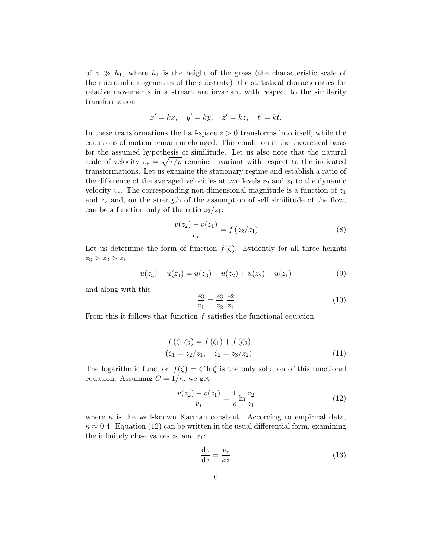of  $z \gg h_1$ , where  $h_1$  is the height of the grass (the characteristic scale of the micro-inhomogeneities of the substrate), the statistical characteristics for relative movements in a stream are invariant with respect to the similarity transformation

$$
x' = kx, \quad y' = ky, \quad z' = kz, \quad t' = kt.
$$

In these transformations the half-space  $z > 0$  transforms into itself, while the equations of motion remain unchanged. This condition is the theoretical basis for the assumed hypothesis of similitude. Let us also note that the natural scale of velocity  $v_* = \sqrt{\tau/\rho}$  remains invariant with respect to the indicated transformations. Let us examine the stationary regime and establish a ratio of the difference of the averaged velocities at two levels  $z_2$  and  $z_1$  to the dynamic velocity  $v_*$ . The corresponding non-dimensional magnitude is a function of  $z_1$ and  $z_2$  and, on the strength of the assumption of self similitude of the flow, can be a function only of the ratio  $z_2/z_1$ :

$$
\frac{\overline{v}(z_2) - \overline{v}(z_1)}{v_*} = f(z_2/z_1)
$$
\n(8)

Let us determine the form of function  $f(\zeta)$ . Evidently for all three heights  $z_3 > z_2 > z_1$ 

$$
\overline{u}(z_3) - \overline{u}(z_1) = \overline{u}(z_3) - \overline{u}(z_2) + \overline{u}(z_2) - \overline{u}(z_1)
$$
\n(9)

and along with this,

$$
\frac{z_3}{z_1} = \frac{z_3}{z_2} \frac{z_2}{z_1} \tag{10}
$$

From this it follows that function f satisfies the functional equation

$$
f(\zeta_1 \zeta_2) = f(\zeta_1) + f(\zeta_2)
$$
  
( $\zeta_1 = z_2/z_1$ ,  $\zeta_2 = z_3/z_2$ ) (11)

The logarithmic function  $f(\zeta) = C \ln \zeta$  is the only solution of this functional equation. Assuming  $C = 1/\kappa$ , we get

$$
\frac{\overline{v}(z_2) - \overline{v}(z_1)}{v_*} = -\frac{1}{\kappa} \ln \frac{z_2}{z_1}
$$
\n(12)

where  $\kappa$  is the well-known Karman constant. According to empirical data,  $\kappa \approx 0.4$ . Equation (12) can be written in the usual differential form, examining the infinitely close values  $z_2$  and  $z_1$ :

$$
\frac{\mathrm{d}\overline{v}}{\mathrm{d}z} = \frac{v_*}{\kappa z} \tag{13}
$$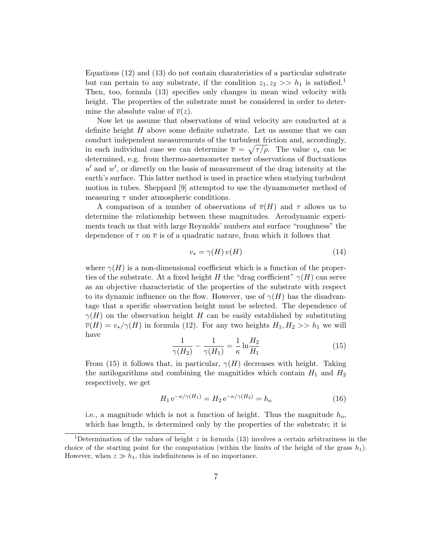Equations (12) and (13) do not contain charateristics of a particular substrate but can pertain to any substrate, if the condition  $z_1, z_2 \gg h_1$  is satisfied.<sup>1</sup> Then, too, formula (13) specifies only changes in mean wind velocity with height. The properties of the substrate must be considered in order to determine the absolute value of  $\overline{v}(z)$ .

Now let us assume that observations of wind velocity are conducted at a definite height  $H$  above some definite substrate. Let us assume that we can conduct independent measurements of the turbulent friction and, accordingly, in each individual case we can determine  $\overline{v} = \sqrt{\tau / \rho}$ . The value  $v_*$  can be determined, e.g. from thermo-anemometer meter observations of fluctuations  $u'$  and  $w'$ , or directly on the basis of measurement of the drag intensity at the earth's surface. This latter method is used in practice when studying turbulent motion in tubes. Sheppard [9] attemptod to use the dynamometer method of measuring  $\tau$  under atmospheric conditions.

A comparison of a number of observations of  $\overline{v}(H)$  and  $\tau$  allows us to determine the relationship between these magnitudes. Aerodynamic experiments teach us that with large Reynolds' nunbers and surface "roughness" the dependence of  $\tau$  on  $\overline{v}$  is of a quadratic nature, from which it follows that

$$
v_* = \gamma(H) v(H) \tag{14}
$$

where  $\gamma(H)$  is a non-dimensional coefficient which is a function of the properties of the substrate. At a fixed height H the "drag coefficient"  $\gamma(H)$  can serve as an objective characteristic of the properties of the substrate with respect to its dynamic influence on the flow. However, use of  $\gamma(H)$  has the disadvantage that a specific observation height must be selected. The dependence of  $\gamma(H)$  on the observation height H can be easily established by substituting  $\overline{v}(H) = v_*/\gamma(H)$  in formula (12). For any two heights  $H_1, H_2 >> h_1$  we will have

$$
\frac{1}{\gamma(H_2)} - \frac{1}{\gamma(H_1)} = -\frac{1}{\kappa} \ln \frac{H_2}{H_1}
$$
\n(15)

From (15) it follows that, in particular,  $\gamma(H)$  decreases with height. Taking the antilogarithms and combining the magnitides which contain  $H_1$  and  $H_2$ respectively, we get

$$
H_1 e^{-\kappa/\gamma(H_1)} = H_2 e^{-\kappa/\gamma(H_2)} = h_o \tag{16}
$$

i.e., a magnitude which is not a function of height. Thus the magnitude  $h_o$ , which has length, is determined only by the properties of the substrate; it is

<sup>&</sup>lt;sup>1</sup>Determination of the values of height z in formula (13) involves a certain arbitrariness in the choice of the starting point for the computation (within the limits of the height of the grass  $h_1$ ). However, when  $z \gg h_1$ , this indefiniteness is of no importance.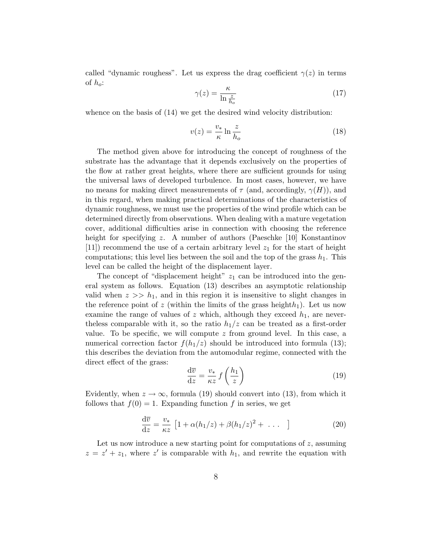called "dynamic roughess". Let us express the drag coefficient  $\gamma(z)$  in terms of  $h_o$ :

$$
\gamma(z) = \frac{\kappa}{\ln \frac{z}{h_o}}\tag{17}
$$

whence on the basis of (14) we get the desired wind velocity distribution:

$$
v(z) = \frac{v_*}{\kappa} \ln \frac{z}{h_o} \tag{18}
$$

The method given above for introducing the concept of roughness of the substrate has the advantage that it depends exclusively on the properties of the flow at rather great heights, where there are sufficient grounds for using the universal laws of developed turbulence. In most cases, however, we have no means for making direct measurements of  $\tau$  (and, accordingly,  $\gamma(H)$ ), and in this regard, when making practical determinations of the characteristics of dynamic roughness, we must use the properties of the wind profile which can be determined directly from observations. When dealing with a mature vegetation cover, additional difficulties arise in connection with choosing the reference height for specifying z. A number of authors (Paeschke [10] Konstantinov [11]) recommend the use of a certain arbitrary level  $z<sub>1</sub>$  for the start of height computations; this level lies between the soil and the top of the grass  $h_1$ . This level can be called the height of the displacement layer.

The concept of "displacement height"  $z_1$  can be introduced into the general system as follows. Equation (13) describes an asymptotic relationship valid when  $z \gg h_1$ , and in this region it is insensitive to slight changes in the reference point of z (within the limits of the grass height $h_1$ ). Let us now examine the range of values of z which, although they exceed  $h_1$ , are neverthe less comparable with it, so the ratio  $h_1/z$  can be treated as a first-order value. To be specific, we will compute  $z$  from ground level. In this case, a numerical correction factor  $f(h_1/z)$  should be introduced into formula (13); this describes the deviation from the automodular regime, connected with the direct effect of the grass:

$$
\frac{\mathrm{d}\overline{v}}{\mathrm{d}z} = \frac{v_*}{\kappa z} f\left(\frac{h_1}{z}\right) \tag{19}
$$

Evidently, when  $z \to \infty$ , formula (19) should convert into (13), from which it follows that  $f(0) = 1$ . Expanding function f in series, we get

$$
\frac{\mathrm{d}\overline{v}}{\mathrm{d}z} = \frac{v_*}{\kappa z} \left[ 1 + \alpha (h_1/z) + \beta (h_1/z)^2 + \dots \right] \tag{20}
$$

Let us now introduce a new starting point for computations of  $z$ , assuming  $z = z' + z_1$ , where z' is comparable with  $h_1$ , and rewrite the equation with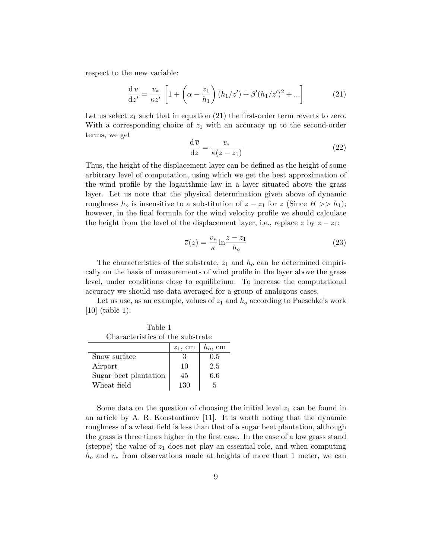respect to the new variable:

$$
\frac{\mathrm{d}\,\overline{v}}{\mathrm{d}z'} = \frac{v_*}{\kappa z'} \left[ 1 + \left( \alpha - \frac{z_1}{h_1} \right) (h_1/z') + \beta'(h_1/z')^2 + \dots \right] \tag{21}
$$

Let us select  $z_1$  such that in equation (21) the first-order term reverts to zero. With a corresponding choice of  $z_1$  with an accuracy up to the second-order terms, we get

$$
\frac{\mathrm{d}\,\overline{v}}{\mathrm{d}z} = \frac{v_*}{\kappa(z - z_1)}\tag{22}
$$

Thus, the height of the displacement layer can be defined as the height of some arbitrary level of computation, using which we get the best approximation of the wind profile by the logarithmic law in a layer situated above the grass layer. Let us note that the physical determination given above of dynamic roughness  $h_o$  is insensitive to a substitution of  $z - z_1$  for z (Since  $H >> h_1$ ); however, in the final formula for the wind velocity profile we should calculate the height from the level of the displacement layer, i.e., replace z by  $z - z_1$ :

$$
\overline{v}(z) = \frac{v_*}{\kappa} \ln \frac{z - z_1}{h_o} \tag{23}
$$

The characteristics of the substrate,  $z_1$  and  $h_o$  can be determined empirically on the basis of measurements of wind profile in the layer above the grass level, under conditions close to equilibrium. To increase the computational accuracy we should use data averaged for a group of analogous cases.

Let us use, as an example, values of  $z_1$  and  $h_o$  according to Paeschke's work [10] (table 1):

Table 1 Characteristics of the substrate

|                       | $z_1$ , cm | $h_o$ , cm |
|-----------------------|------------|------------|
| Snow surface          |            | 0.5        |
| Airport               | 10         | 2.5        |
| Sugar beet plantation | 45         | 6.6        |
| Wheat field           | 130        | 5          |

Some data on the question of choosing the initial level  $z_1$  can be found in an article by A. R. Konstantinov [11]. It is worth noting that the dynamic roughness of a wheat field is less than that of a sugar beet plantation, although the grass is three times higher in the first case. In the case of a low grass stand (steppe) the value of  $z_1$  does not play an essential role, and when computing  $h_0$  and  $v_*$  from observations made at heights of more than 1 meter, we can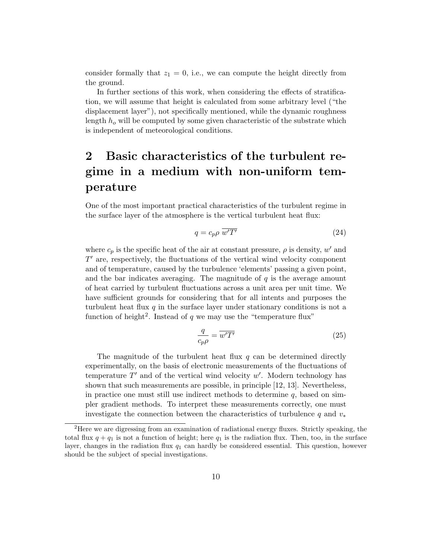consider formally that  $z_1 = 0$ , i.e., we can compute the height directly from the ground.

In further sections of this work, when considering the effects of stratification, we will assume that height is calculated from some arbitrary level ("the displacement layer"), not specifically mentioned, while the dynamic roughness length  $h_o$  will be computed by some given characteristic of the substrate which is independent of meteorological conditions.

### 2 Basic characteristics of the turbulent regime in a medium with non-uniform temperature

One of the most important practical characteristics of the turbulent regime in the surface layer of the atmosphere is the vertical turbulent heat flux:

$$
q = c_p \rho \ \overline{w'T'} \tag{24}
$$

where  $c_p$  is the specific heat of the air at constant pressure,  $\rho$  is density,  $w'$  and  $T'$  are, respectively, the fluctuations of the vertical wind velocity component and of temperature, caused by the turbulence 'elements' passing a given point, and the bar indicates averaging. The magnitude of  $q$  is the average amount of heat carried by turbulent fluctuations across a unit area per unit time. We have sufficient grounds for considering that for all intents and purposes the turbulent heat flux  $q$  in the surface layer under stationary conditions is not a function of height<sup>2</sup>. Instead of q we may use the "temperature flux"

$$
\frac{q}{c_p \rho} = \overline{w'T'}
$$
\n(25)

The magnitude of the turbulent heat flux  $q$  can be determined directly experimentally, on the basis of electronic measurements of the fluctuations of temperature  $T'$  and of the vertical wind velocity  $w'$ . Modern technology has shown that such measurements are possible, in principle [12, 13]. Nevertheless, in practice one must still use indirect methods to determine  $q$ , based on simpler gradient methods. To interpret these measurements correctly, one must investigate the connection between the characteristics of turbulence q and  $v_*$ 

<sup>&</sup>lt;sup>2</sup>Here we are digressing from an examination of radiational energy fluxes. Strictly speaking, the total flux  $q + q_1$  is not a function of height; here  $q_1$  is the radiation flux. Then, too, in the surface layer, changes in the radiation flux  $q_1$  can hardly be considered essential. This question, however should be the subject of special investigations.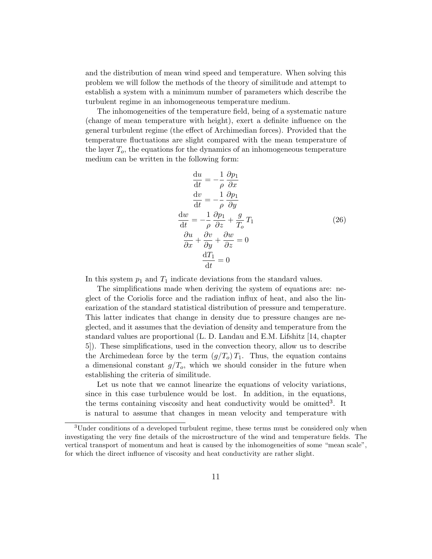and the distribution of mean wind speed and temperature. When solving this problem we will follow the methods of the theory of similitude and attempt to establish a system with a minimum number of parameters which describe the turbulent regime in an inhomogeneous temperature medium.

The inhomogeneities of the temperature field, being of a systematic nature (change of mean temperature with height), exert a definite influence on the general turbulent regime (the effect of Archimedian forces). Provided that the temperature fluctuations are slight compared with the mean temperature of the layer  $T<sub>o</sub>$ , the equations for the dynamics of an inhomogeneous temperature medium can be written in the following form:

$$
\frac{du}{dt} = -\frac{1}{\rho} \frac{\partial p_1}{\partial x}
$$
  
\n
$$
\frac{dv}{dt} = -\frac{1}{\rho} \frac{\partial p_1}{\partial y}
$$
  
\n
$$
\frac{dw}{dt} = -\frac{1}{\rho} \frac{\partial p_1}{\partial z} + \frac{g}{T_o} T_1
$$
  
\n
$$
\frac{\partial u}{\partial x} + \frac{\partial v}{\partial y} + \frac{\partial w}{\partial z} = 0
$$
  
\n
$$
\frac{dT_1}{dt} = 0
$$
 (26)

In this system  $p_1$  and  $T_1$  indicate deviations from the standard values.

The simplifications made when deriving the system of equations are: neglect of the Coriolis force and the radiation influx of heat, and also the linearization of the standard statistical distribution of pressure and temperature. This latter indicates that change in density due to pressure changes are neglected, and it assumes that the deviation of density and temperature from the standard values are proportional (L. D. Landau and E.M. Lifshitz [14, chapter 5]). These simplifications, used in the convection theory, allow us to describe the Archimedean force by the term  $(g/T<sub>o</sub>) T<sub>1</sub>$ . Thus, the equation contains a dimensional constant  $g/T<sub>o</sub>$ , which we should consider in the future when establishing the criteria of similitude.

Let us note that we cannot linearize the equations of velocity variations, since in this case turbulence would be lost. In addition, in the equations, the terms containing viscosity and heat conductivity would be omitted<sup>3</sup>. It is natural to assume that changes in mean velocity and temperature with

<sup>&</sup>lt;sup>3</sup>Under conditions of a developed turbulent regime, these terms must be considered only when investigating the very fine details of the microstructure of the wind and temperature fields. The vertical transport of momentum and heat is caused by the inhomogeneities of some "mean scale", for which the direct influence of viscosity and heat conductivity are rather slight.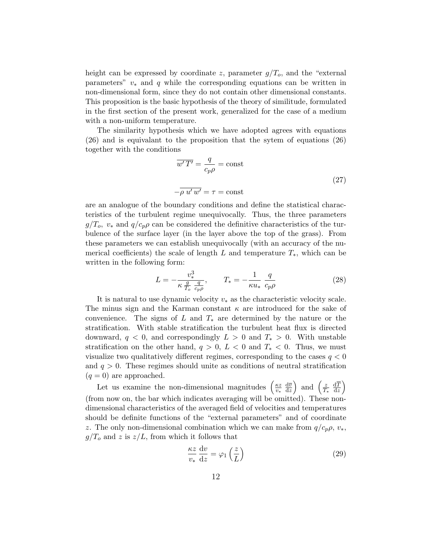height can be expressed by coordinate z, parameter  $g/T<sub>o</sub>$ , and the "external parameters"  $v_*$  and q while the corresponding equations can be written in non-dimensional form, since they do not contain other dimensional constants. This proposition is the basic hypothesis of the theory of similitude, formulated in the first section of the present work, generalized for the case of a medium with a non-uniform temperature.

The similarity hypothesis which we have adopted agrees with equations (26) and is equivalant to the proposition that the sytem of equations (26) together with the conditions

$$
\overline{w'T'} = \frac{q}{c_p \rho} = \text{const}
$$
\n
$$
-\overline{\rho u' w'} = \tau = \text{const}
$$
\n(27)

are an analogue of the boundary conditions and define the statistical characteristics of the turbulent regime unequivocally. Thus, the three parameters  $g/T_o$ ,  $v_*$  and  $q/c_p \rho$  can be considered the definitive characteristics of the turbulence of the surface layer (in the layer above the top of the grass). From these parameters we can establish unequivocally (with an accuracy of the numerical coefficients) the scale of length L and temperature  $T_*$ , which can be written in the following form:

$$
L = -\frac{v_*^3}{\kappa \frac{g}{T_o} \frac{q}{c_p \rho}}, \qquad T_* = -\frac{1}{\kappa u_*} \frac{q}{c_p \rho} \tag{28}
$$

It is natural to use dynamic velocity  $v_*$  as the characteristic velocity scale. The minus sign and the Karman constant  $\kappa$  are introduced for the sake of convenience. The signs of L and  $T_*$  are determined by the nature or the stratification. With stable stratification the turbulent heat flux is directed downward,  $q < 0$ , and correspondingly  $L > 0$  and  $T_* > 0$ . With unstable stratification on the other hand,  $q > 0$ ,  $L < 0$  and  $T_* < 0$ . Thus, we must visualize two qualitatively different regimes, corresponding to the cases  $q < 0$ and  $q > 0$ . These regimes should unite as conditions of neutral stratification  $(q = 0)$  are approached.

Let us examine the non-dimensional magnitudes  $\left(\frac{\kappa z}{n}\right)$ v∗  $d\overline{v}$  $\frac{\mathrm{d}\overline{v}}{\mathrm{d}z}$  and  $\left(\frac{z}{T}\right)$  $T_*$  $dT$  $\frac{\mathrm{d}\overline{T}}{\mathrm{d}z}$ (from now on, the bar which indicates averaging will be omitted). These nondimensional characteristics of the averaged field of velocities and temperatures should be definite functions of the "external parameters" and of coordinate z. The only non-dimensional combination which we can make from  $q/c_p \rho$ ,  $v_*$ ,  $g/T<sub>o</sub>$  and z is  $z/L$ , from which it follows that

$$
\frac{\kappa z}{v_*} \frac{\mathrm{d}v}{\mathrm{d}z} = \varphi_1 \left(\frac{z}{L}\right) \tag{29}
$$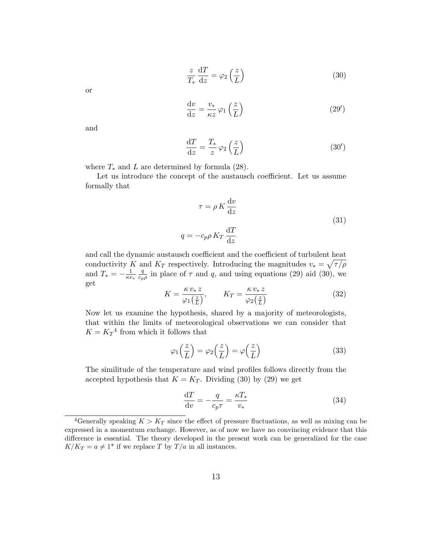$$
\frac{z}{T_*} \frac{dT}{dz} = \varphi_2 \left(\frac{z}{L}\right) \tag{30}
$$

or

$$
\frac{\mathrm{d}v}{\mathrm{d}z} = \frac{v_*}{\kappa z} \varphi_1\left(\frac{z}{L}\right) \tag{29'}
$$

and

$$
\frac{\mathrm{d}T}{\mathrm{d}z} = \frac{T_*}{z} \varphi_2\left(\frac{z}{L}\right) \tag{30'}
$$

where  $T_*$  and  $L$  are determined by formula (28).

Let us introduce the concept of the austausch coefficient. Let us assume formally that

$$
\tau = \rho K \frac{dv}{dz}
$$
  

$$
q = -c_p \rho K_T \frac{dT}{dz}
$$
 (31)

and call the dynamic austausch coefficient and the coefficient of turbulent heat conductivity K and  $K_T$  respectively. Introducing the magnitudes  $v_* = \sqrt{\tau/\rho}$ and  $T_* = -\frac{1}{\kappa v}$ κv∗ q  $\frac{q}{c_{p\rho}}$  in place of  $\tau$  and  $q$ , and using equations (29) aid (30), we get

$$
K = \frac{\kappa v_* z}{\varphi_1(\frac{z}{L})}, \qquad K_T = \frac{\kappa v_* z}{\varphi_2(\frac{z}{L})}
$$
(32)

Now let us examine the hypothesis, shared by a majority of meteorologists, that within the limits of meteorological observations we can consider that  $K = K_T^4$  from which it follows that

$$
\varphi_1\left(\frac{z}{L}\right) = \varphi_2\left(\frac{z}{L}\right) = \varphi\left(\frac{z}{L}\right) \tag{33}
$$

The similitude of the temperature and wind profiles follows directly from the accepted hypothesis that  $K = K_T$ . Dividing (30) by (29) we get

$$
\frac{\mathrm{d}T}{\mathrm{d}v} = -\frac{q}{c_p \tau} = \frac{\kappa T_*}{v_*} \tag{34}
$$

<sup>&</sup>lt;sup>4</sup>Generally speaking  $K > K_T$  since the effect of pressure fluctuations, as well as mixing can be expressed in a momentum exchange. However, as of now we have no convincing evidence that this difference is essential. The theory developed in the present work can be generalized for the case  $K/K_T = a \neq 1^*$  if we replace T by  $T/a$  in all instances.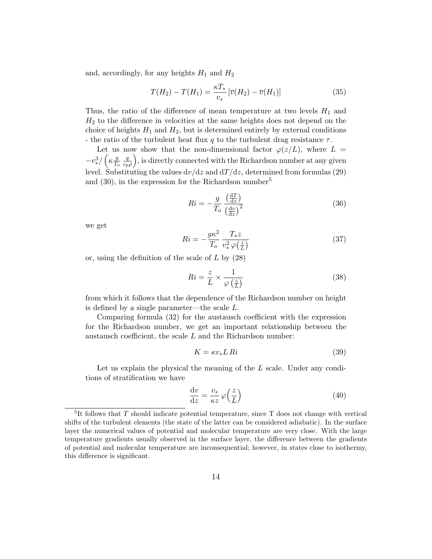and, accordingly, for any heights  $H_1$  and  $H_2$ 

$$
T(H_2) - T(H_1) = \frac{\kappa T_*}{v_*} \left[ \overline{v}(H_2) - \overline{v}(H_1) \right]
$$
 (35)

Thus, the ratio of the difference of mean temperature at two levels  $H_1$  and  $H_2$  to the difference in velocities at the same heights does not depend on the choice of heights  $H_1$  and  $H_2$ , but is determined entirely by external conditions - the ratio of the turbulent heat flux q to the turbulent drag resistance  $\tau$ .

Let us now show that the non-dimensional factor  $\varphi(z/L)$ , where  $L =$  $-v^3_{\ast}/\left(\kappa \frac{g}{T_c}\right)$  $\overline{T_o}$ q  $\frac{q}{c_p\rho}$ , is directly connected with the Richardson number at any given level. Substituting the values  $dv/dz$  and  $dT/dz$ , determined from formulas (29) and  $(30)$ , in the expression for the Richardson number<sup>5</sup>

$$
Ri = -\frac{g}{T_o} \frac{\left(\frac{\mathrm{d}T}{\mathrm{d}z}\right)}{\left(\frac{\mathrm{d}v}{\mathrm{d}z}\right)^2} \tag{36}
$$

we get

$$
Ri = -\frac{g\kappa^2}{T_o} \frac{T_* z}{v_*^2 \varphi(\frac{z}{L})}
$$
\n(37)

or, using the definition of the scale of  $L$  by  $(28)$ 

$$
Ri = \frac{z}{L} \times \frac{1}{\varphi\left(\frac{z}{L}\right)}\tag{38}
$$

from which it follows that the dependence of the Richardson number on height is defined by a single parameter—the scale L.

Comparing formula (32) for the austausch coefficient with the expression for the Richardson number, we get an important relationship between the austausch coefficient, the scale L and the Richardson number:

$$
K = \kappa v_* L \, Ri \tag{39}
$$

Let us explain the physical the meaning of the  $L$  scale. Under any conditions of stratification we have

$$
\frac{\mathrm{d}v}{\mathrm{d}z} = \frac{v_*}{\kappa z} \varphi\left(\frac{z}{L}\right) \tag{40}
$$

<sup>&</sup>lt;sup>5</sup>It follows that T should indicate potential temperature, since T does not change with vertical shifts of the turbulent elements (the state of the latter can be considered adiabatic). In the surface layer the numerical values of potential and molecular temperature are very close. With the large temperature gradients usually observed in the surface layer, the difference between the gradients of potential and molecular temperature are inconsequential; however, in states close to isothermy, this difference is significant.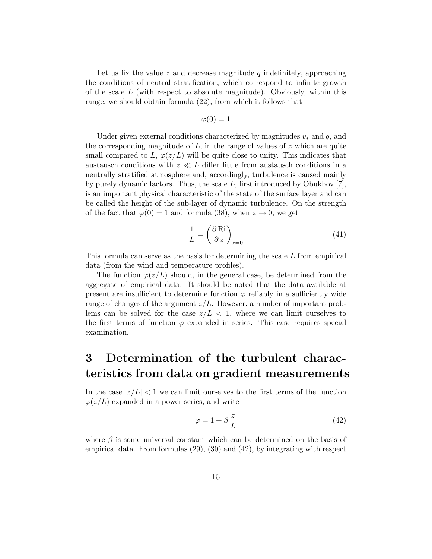Let us fix the value  $z$  and decrease magnitude  $q$  indefinitely, approaching the conditions of neutral stratification, which correspond to infinite growth of the scale  $L$  (with respect to absolute magnitude). Obviously, within this range, we should obtain formula (22), from which it follows that

$$
\varphi(0)=1
$$

Under given external conditions characterized by magnitudes  $v_*$  and q, and the corresponding magnitude of  $L$ , in the range of values of  $z$  which are quite small compared to L,  $\varphi(z/L)$  will be quite close to unity. This indicates that austausch conditions with  $z \ll L$  differ little from austausch conditions in a neutrally stratified atmosphere and, accordingly, turbulence is caused mainly by purely dynamic factors. Thus, the scale  $L$ , first introduced by Obukbov [7], is an important physical characteristic of the state of the surface layer and can be called the height of the sub-layer of dynamic turbulence. On the strength of the fact that  $\varphi(0) = 1$  and formula (38), when  $z \to 0$ , we get

$$
\frac{1}{L} = \left(\frac{\partial \text{Ri}}{\partial z}\right)_{z=0} \tag{41}
$$

This formula can serve as the basis for determining the scale L from empirical data (from the wind and temperature profiles).

The function  $\varphi(z/L)$  should, in the general case, be determined from the aggregate of empirical data. It should be noted that the data available at present are insufficient to determine function  $\varphi$  reliably in a sufficiently wide range of changes of the argument  $z/L$ . However, a number of important problems can be solved for the case  $z/L < 1$ , where we can limit ourselves to the first terms of function  $\varphi$  expanded in series. This case requires special examination.

### 3 Determination of the turbulent characteristics from data on gradient measurements

In the case  $|z/L|$  < 1 we can limit ourselves to the first terms of the function  $\varphi(z/L)$  expanded in a power series, and write

$$
\varphi = 1 + \beta \frac{z}{L} \tag{42}
$$

where  $\beta$  is some universal constant which can be determined on the basis of empirical data. From formulas (29), (30) and (42), by integrating with respect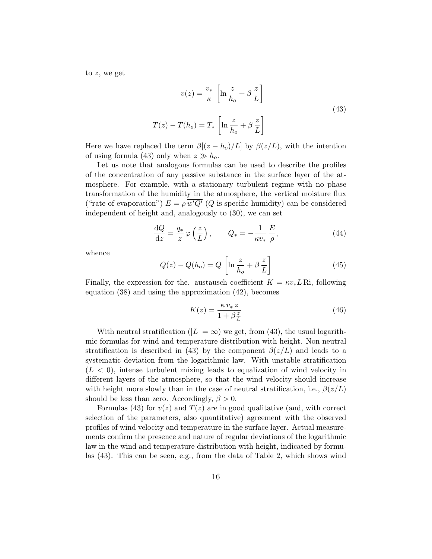to z, we get

$$
v(z) = \frac{v_*}{\kappa} \left[ \ln \frac{z}{h_o} + \beta \frac{z}{L} \right]
$$
  

$$
T(z) - T(h_o) = T_* \left[ \ln \frac{z}{h_o} + \beta \frac{z}{L} \right]
$$
 (43)

Here we have replaced the term  $\beta[(z-h<sub>o</sub>)/L]$  by  $\beta(z/L)$ , with the intention of using formula (43) only when  $z \gg h_o$ .

Let us note that analogous formulas can be used to describe the profiles of the concentration of any passive substance in the surface layer of the atmosphere. For example, with a stationary turbulent regime with no phase transformation of the humidity in the atmosphere, the vertical moisture flux ("rate of evaporation")  $E = \rho w' Q'$  (Q is specific humidity) can be considered independent of height and, analogously to (30), we can set

$$
\frac{\mathrm{d}Q}{\mathrm{d}z} = \frac{q_*}{z} \varphi\left(\frac{z}{L}\right), \qquad Q_* = -\frac{1}{\kappa v_*} \frac{E}{\rho},\tag{44}
$$

whence

$$
Q(z) - Q(h_o) = Q \left[ \ln \frac{z}{h_o} + \beta \frac{z}{L} \right]
$$
 (45)

Finally, the expression for the. austausch coefficient  $K = \kappa v_* L$  Ri, following equation (38) and using the approximation (42), becomes

$$
K(z) = \frac{\kappa v_* z}{1 + \beta \frac{z}{L}}\tag{46}
$$

With neutral stratification  $(|L| = \infty)$  we get, from (43), the usual logarithmic formulas for wind and temperature distribution with height. Non-neutral stratification is described in (43) by the component  $\beta(z/L)$  and leads to a systematic deviation from the logarithmic law. With unstable stratification  $(L < 0)$ , intense turbulent mixing leads to equalization of wind velocity in different layers of the atmosphere, so that the wind velocity should increase with height more slowly than in the case of neutral stratification, i.e.,  $\beta(z/L)$ should be less than zero. Accordingly,  $\beta > 0$ .

Formulas (43) for  $v(z)$  and  $T(z)$  are in good qualitative (and, with correct selection of the parameters, also quantitative) agreement with the observed profiles of wind velocity and temperature in the surface layer. Actual measurements confirm the presence and nature of regular deviations of the logarithmic law in the wind and temperature distribution with height, indicated by formulas (43). This can be seen, e.g., from the data of Table 2, which shows wind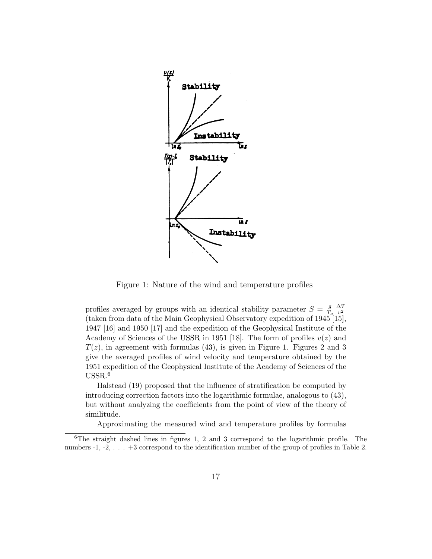

Figure 1: Nature of the wind and temperature profiles

profiles averaged by groups with an identical stability parameter  $S = \frac{g}{T}$  $\overline{T_o}$  $\Delta T$  $v^2$ (taken from data of the Main Geophysical Observatory expedition of 1945 [15], 1947 [16] and 1950 [17] and the expedition of the Geophysical Institute of the Academy of Sciences of the USSR in 1951 [18]. The form of profiles  $v(z)$  and  $T(z)$ , in agreement with formulas (43), is given in Figure 1. Figures 2 and 3 give the averaged profiles of wind velocity and temperature obtained by the 1951 expedition of the Geophysical Institute of the Academy of Sciences of the USSR.<sup>6</sup>

Halstead (19) proposed that the influence of stratification be computed by introducing correction factors into the logarithmic formulae, analogous to (43), but without analyzing the coefficients from the point of view of the theory of similitude.

Approximating the measured wind and temperature profiles by formulas

<sup>6</sup>The straight dashed lines in figures 1, 2 and 3 correspond to the logarithmic profile. The numbers -1, -2, . . . +3 correspond to the identification number of the group of profiles in Table 2.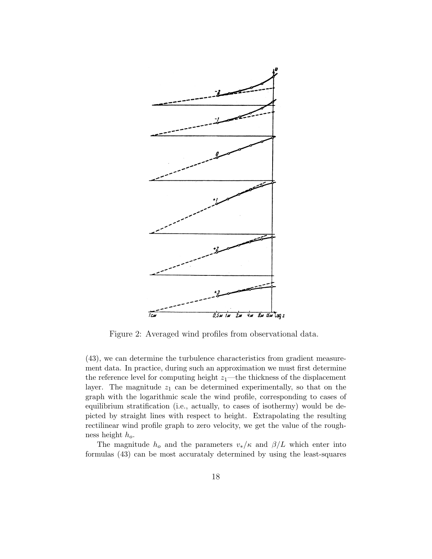

Figure 2: Averaged wind profiles from observational data.

(43), we can determine the turbulence characteristics from gradient measurement data. In practice, during such an approximation we must first determine the reference level for computing height  $z_1$ —the thickness of the displacement layer. The magnitude  $z_1$  can be determined experimentally, so that on the graph with the logarithmic scale the wind profile, corresponding to cases of equilibrium stratification (i.e., actually, to cases of isothermy) would be depicted by straight lines with respect to height. Extrapolating the resulting rectilinear wind profile graph to zero velocity, we get the value of the roughness height  $h_o$ .

The magnitude  $h_o$  and the parameters  $v_*/\kappa$  and  $\beta/L$  which enter into formulas (43) can be most accurataly determined by using the least-squares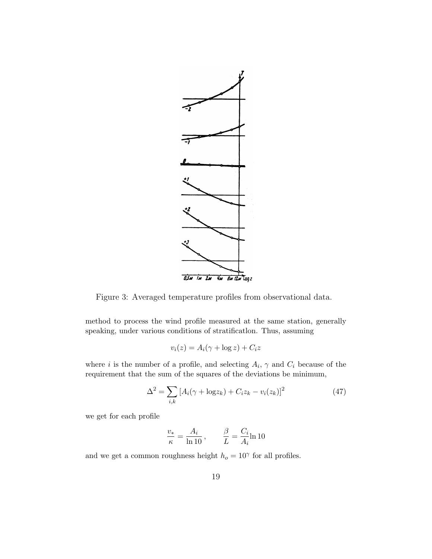

Figure 3: Averaged temperature profiles from observational data.

method to process the wind profile measured at the same station, generally speaking, under various conditions of stratificatlon. Thus, assuming

$$
v_i(z) = A_i(\gamma + \log z) + C_i z
$$

where *i* is the number of a profile, and selecting  $A_i$ ,  $\gamma$  and  $C_i$  because of the requirement that the sum of the squares of the deviations be minimum,

$$
\Delta^{2} = \sum_{i,k} [A_{i}(\gamma + \log z_{k}) + C_{i}z_{k} - v_{i}(z_{k})]^{2}
$$
(47)

we get for each profile

$$
\frac{v_*}{\kappa} = \frac{A_i}{\ln 10}, \qquad \frac{\beta}{L} = \frac{C_i}{A_i} \ln 10
$$

and we get a common roughness height  $h_o = 10^{\gamma}$  for all profiles.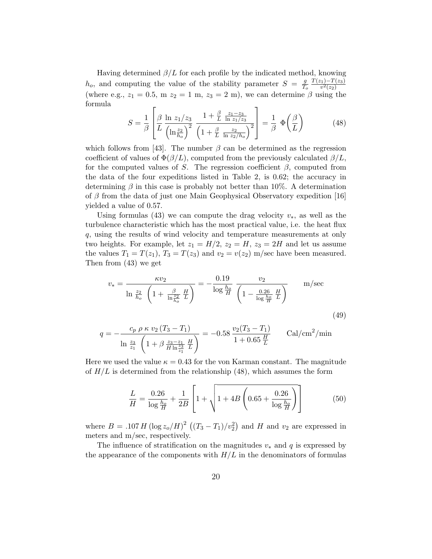Having determined  $\beta/L$  for each profile by the indicated method, knowing  $h_o$ , and computing the value of the stability parameter  $S = \frac{g}{L}$  $\overline{T_o}$  $T(z_1)$ − $T(z_3)$  $\overline{v^2(z_2)}$ (where e.g.,  $z_1 = 0.5$ , m  $z_2 = 1$  m,  $z_3 = 2$  m), we can determine  $\beta$  using the formula

$$
S = \frac{1}{\beta} \left[ \frac{\beta}{L} \frac{\ln z_1/z_3}{\left(\ln \frac{z_2}{h_o}\right)^2} \frac{1 + \frac{\beta}{L} \frac{z_1 - z_3}{\ln z_1/z_3}}{\left(1 + \frac{\beta}{L} \frac{z_2}{\ln z_2/h_o}\right)^2} \right] = \frac{1}{\beta} \Phi\left(\frac{\beta}{L}\right)
$$
(48)

which follows from [43]. The number  $\beta$  can be determined as the regression coefficient of values of  $\Phi(\beta/L)$ , computed from the previously calculated  $\beta/L$ , for the computed values of S. The regression coefficient  $\beta$ , computed from the data of the four expeditions listed in Table 2, is 0.62; the accuracy in determining  $\beta$  in this case is probably not better than 10%. A determination of  $\beta$  from the data of just one Main Geophysical Observatory expedition [16] yielded a value of 0.57.

Using formulas (43) we can compute the drag velocity  $v<sub>*</sub>$ , as well as the turbulence characteristic which has the most practical value, i.e. the heat flux q, using the results of wind velocity and temperature measurements at only two heights. For example, let  $z_1 = H/2$ ,  $z_2 = H$ ,  $z_3 = 2H$  and let us assume the values  $T_1 = T(z_1)$ ,  $T_3 = T(z_3)$  and  $v_2 = v(z_2)$  m/sec have been measured. Then from (43) we get

$$
v_{*} = \frac{\kappa v_{2}}{\ln \frac{z_{2}}{h_{o}} \left(1 + \frac{\beta}{\ln \frac{z_{2}}{h_{o}}} \frac{H}{L}\right)} = -\frac{0.19}{\log \frac{h_{o}}{H}} \frac{v_{2}}{\left(1 - \frac{0.26}{\log \frac{h_{o}}{H}} \frac{H}{L}\right)} \qquad m/sec
$$
\n
$$
(49)
$$

$$
q = -\frac{c_p \rho \kappa v_2 (T_3 - T_1)}{\ln \frac{z_3}{z_1} \left(1 + \beta \frac{z_3 - z_1}{H \ln \frac{z_3}{z_1}} \frac{H}{L}\right)} = -0.58 \frac{v_2 (T_3 - T_1)}{1 + 0.65 \frac{H}{L}}
$$
 Cal/cm<sup>2</sup>/min

Here we used the value  $\kappa = 0.43$  for the von Karman constant. The magnitude of  $H/L$  is determined from the relationship (48), which assumes the form

$$
\frac{L}{H} = \frac{0.26}{\log \frac{h_o}{H}} + \frac{1}{2B} \left[ 1 + \sqrt{1 + 4B \left( 0.65 + \frac{0.26}{\log \frac{h_o}{H}} \right)} \right]
$$
(50)

where  $B = .107 H (\log z_0/H)^2 ((T_3 - T_1)/v_2^2)$  and H and  $v_2$  are expressed in meters and m/sec, respectively.

The influence of stratification on the magnitudes  $v_*$  and q is expressed by the appearance of the components with  $H/L$  in the denominators of formulas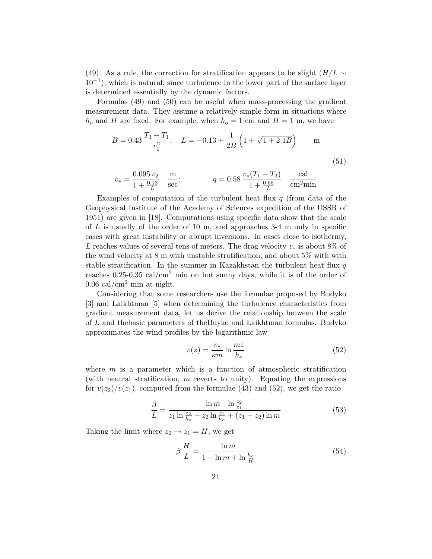(49). As a rule, the correction for stratification appears to be slight  $(H/L \sim$ 10−<sup>1</sup> ), which is natural, since turbulence in the lower part of the surface layer is determined essentially by the dynamic factors.

Formulas (49) and (50) can be useful when mass-processing the gradient measurement data. They assume a relatively simple form in situations where  $h_o$  and H are fixed. For example, when  $h_o = 1$  cm and  $H = 1$  m, we have

$$
B = 0.43 \frac{T_3 - T_1}{v_2^2}; \quad L = -0.13 + \frac{1}{2B} \left( 1 + \sqrt{1 + 2.1B} \right) \qquad \text{m}
$$
\n(51)

$$
v_* = \frac{0.095 v_2}{1 + \frac{0.13}{L}} \frac{m}{sec};
$$
  $q = 0.58 \frac{v_*(T_1 - T_3)}{1 + \frac{0.65}{L}} \frac{cal}{cm^2 min}$ 

Examples of computation of the turbulent heat flux  $q$  (from data of the Geophysical Institute of the Academy of Sciences expedition of the USSR of 1951) are given in [18]. Computations using specific data show that the scale of  $L$  is usually of the order of 10 m, and approaches 3-4 m only in specific cases with great instability or abrupt inversions. In cases close to isothermy, L reaches values of several tens of meters. The drag velocity  $v_*$  is about 8% of the wind velocity at 8 m with unstable stratification, and about 5% with with stable stratification. In the summer in Kazakhstan the turbulent heat flux  $q$ reaches 0.25-0.35 cal/cm<sup>2</sup> min on hot sunny days, while it is of the order of  $0.06$  cal/cm<sup>2</sup> min at night.

Considering that some researchers use the formulae proposed by Budyko [3] and Laikhtman [5] when determining the turbulence characteristics from gradient measurement data, let us derive the relationship between the scale of L and thebasic parameters of theBuyko and Laikhtman formulas. Budyko approximates the wind profiles by the logarithmic law

$$
v(z) = \frac{v_*}{\kappa m} \ln \frac{mz}{h_o} \tag{52}
$$

where  $m$  is a parameter which is a function of atmospheric stratification (with neutral stratification,  $m$  reverts to unity). Equating the expressions for  $v(z_2)/v(z_1)$ , computed from the formulae (43) and (52), we get the ratio

$$
\frac{\beta}{L} = \frac{\ln m}{z_1 \ln \frac{z_2}{h_o} - z_2 \ln \frac{z_1}{h_o} + (z_1 - z_2) \ln m}
$$
(53)

Taking the limit where  $z_2 \rightarrow z_1 = H$ , we get

$$
\beta \frac{H}{L} = \frac{\ln m}{1 - \ln m + \ln \frac{h_o}{H}}
$$
\n(54)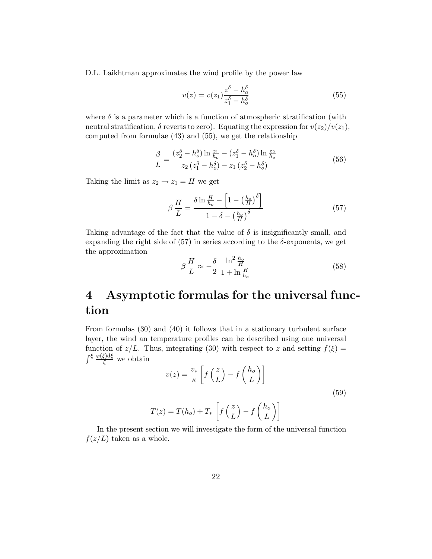D.L. Laikhtman approximates the wind profile by the power law

$$
v(z) = v(z_1) \frac{z^{\delta} - h_o^{\delta}}{z_1^{\delta} - h_o^{\delta}}
$$
\n(55)

where  $\delta$  is a parameter which is a function of atmospheric stratification (with neutral stratification,  $\delta$  reverts to zero). Equating the expression for  $v(z_2)/v(z_1)$ , computed from formulae (43) and (55), we get the relationship

$$
\frac{\beta}{L} = \frac{(z_2^{\delta} - h_o^{\delta}) \ln \frac{z_1}{h_o} - (z_1^{\delta} - h_o^{\delta}) \ln \frac{z_2}{h_o}}{z_2 (z_1^{\delta} - h_o^{\delta}) - z_1 (z_2^{\delta} - h_o^{\delta})}
$$
(56)

Taking the limit as  $z_2 \rightarrow z_1 = H$  we get

$$
\beta \frac{H}{L} = \frac{\delta \ln \frac{H}{h_o} - \left[1 - \left(\frac{h_o}{H}\right)^{\delta}\right]}{1 - \delta - \left(\frac{h_o}{H}\right)^{\delta}}
$$
(57)

Taking advantage of the fact that the value of  $\delta$  is insignificantly small, and expanding the right side of  $(57)$  in series according to the  $\delta$ -exponents, we get the approximation

$$
\beta \frac{H}{L} \approx -\frac{\delta}{2} \frac{\ln^2 \frac{h_o}{H}}{1 + \ln \frac{H}{h_o}}
$$
\n(58)

## 4 Asymptotic formulas for the universal function

From formulas (30) and (40) it follows that in a stationary turbulent surface layer, the wind an temperature profiles can be described using one universal function of  $z/L$ . Thus, integrating (30) with respect to z and setting  $f(\xi) =$  $\int^{\xi} \frac{\varphi(\xi) d\xi}{\xi}$  we obtain

$$
v(z) = \frac{v_*}{\kappa} \left[ f\left(\frac{z}{L}\right) - f\left(\frac{h_o}{L}\right) \right]
$$
  

$$
T(z) = T(h_o) + T_* \left[ f\left(\frac{z}{L}\right) - f\left(\frac{h_o}{L}\right) \right]
$$
 (59)

In the present section we will investigate the form of the universal function  $f(z/L)$  taken as a whole.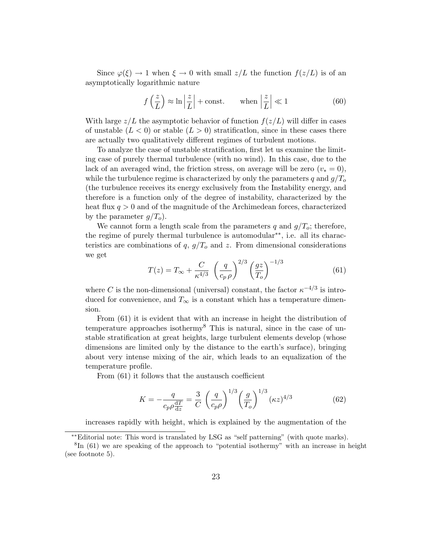Since  $\varphi(\xi) \to 1$  when  $\xi \to 0$  with small  $z/L$  the function  $f(z/L)$  is of an asymptotically logarithmic nature

$$
f\left(\frac{z}{L}\right) \approx \ln\left|\frac{z}{L}\right| + \text{const.}
$$
 when  $\left|\frac{z}{L}\right| \ll 1$  (60)

With large  $z/L$  the asymptotic behavior of function  $f(z/L)$  will differ in cases of unstable  $(L < 0)$  or stable  $(L > 0)$  stratification, since in these cases there are actually two qualitatively different regimes of turbulent motions.

To analyze the case of unstable stratification, first let us examine the limiting case of purely thermal turbulence (with no wind). In this case, due to the lack of an averaged wind, the friction stress, on average will be zero  $(v_* = 0)$ , while the turbulence regime is characterized by only the parameters q and  $g/T<sub>o</sub>$ (the turbulence receives its energy exclusively from the Instability energy, and therefore is a function only of the degree of instability, characterized by the heat flux  $q > 0$  and of the magnitude of the Archimedean forces, characterized by the parameter  $g/T<sub>o</sub>$ ).

We cannot form a length scale from the parameters q and  $g/T<sub>o</sub>$ ; therefore, the regime of purely thermal turbulence is automodular∗∗, i.e. all its characteristics are combinations of q,  $g/T<sub>o</sub>$  and z. From dimensional considerations we get

$$
T(z) = T_{\infty} + \frac{C}{\kappa^{4/3}} \left(\frac{q}{c_p \rho}\right)^{2/3} \left(\frac{gz}{T_o}\right)^{-1/3} \tag{61}
$$

where C is the non-dimensional (universal) constant, the factor  $\kappa^{-4/3}$  is introduced for convenience, and  $T_{\infty}$  is a constant which has a temperature dimension.

From (61) it is evident that with an increase in height the distribution of temperature approaches isothermy<sup>8</sup> This is natural, since in the case of unstable stratification at great heights, large turbulent elements develop (whose dimensions are limited only by the distance to the earth's surface), bringing about very intense mixing of the air, which leads to an equalization of the temperature profile.

From (61) it follows that the austausch coefficient

$$
K = -\frac{q}{c_p \rho \frac{dT}{dz}} = \frac{3}{C} \left(\frac{q}{c_p \rho}\right)^{1/3} \left(\frac{g}{T_o}\right)^{1/3} (\kappa z)^{4/3}
$$
(62)

increases rapidly with height, which is explained by the augmentation of the

<sup>∗∗</sup>Editorial note: This word is translated by LSG as "self patterning" (with quote marks).

 ${}^{8}$ In (61) we are speaking of the approach to "potential isothermy" with an increase in height (see footnote 5).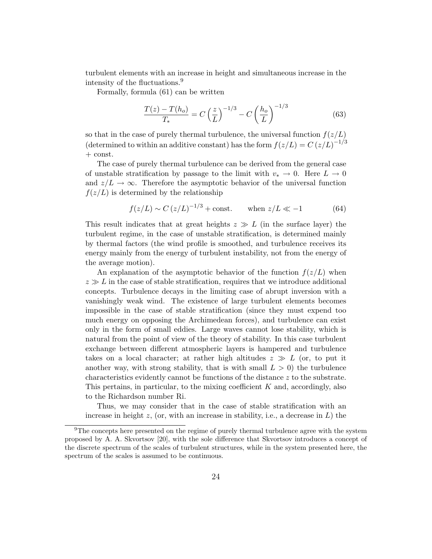turbulent elements with an increase in height and simultaneous increase in the intensity of the fluctuations.<sup>9</sup>

Formally, formula (61) can be written

$$
\frac{T(z) - T(h_o)}{T_*} = C\left(\frac{z}{L}\right)^{-1/3} - C\left(\frac{h_o}{L}\right)^{-1/3}
$$
(63)

so that in the case of purely thermal turbulence, the universal function  $f(z/L)$ (determined to within an additive constant) has the form  $f(z/L) = C (z/L)^{-1/3}$ + const.

The case of purely thermal turbulence can be derived from the general case of unstable stratification by passage to the limit with  $v_* \to 0$ . Here  $L \to 0$ and  $z/L \to \infty$ . Therefore the asymptotic behavior of the universal function  $f(z/L)$  is determined by the relationship

$$
f(z/L) \sim C (z/L)^{-1/3} + \text{const.}
$$
 when  $z/L \ll -1$  (64)

This result indicates that at great heights  $z \gg L$  (in the surface layer) the turbulent regime, in the case of unstable stratification, is determined mainly by thermal factors (the wind profile is smoothed, and turbulence receives its energy mainly from the energy of turbulent instability, not from the energy of the average motion).

An explanation of the asymptotic behavior of the function  $f(z/L)$  when  $z \gg L$  in the case of stable stratification, requires that we introduce additional concepts. Turbulence decays in the limiting case of abrupt inversion with a vanishingly weak wind. The existence of large turbulent elements becomes impossible in the case of stable stratification (since they must expend too much energy on opposing the Archimedean forces), and turbulence can exist only in the form of small eddies. Large waves cannot lose stability, which is natural from the point of view of the theory of stability. In this case turbulent exchange between different atmospheric layers is hampered and turbulence takes on a local character; at rather high altitudes  $z \gg L$  (or, to put it another way, with strong stability, that is with small  $L > 0$ ) the turbulence characteristics evidently cannot be functions of the distance z to the substrate. This pertains, in particular, to the mixing coefficient K and, accordingly, also to the Richardson number Ri.

Thus, we may consider that in the case of stable stratification with an increase in height  $z$ , (or, with an increase in stability, i.e., a decrease in  $L$ ) the

 $9$ The concepts here presented on the regime of purely thermal turbulence agree with the system proposed by A. A. Skvortsov [20], with the sole difference that Skvortsov introduces a concept of the discrete spectrum of the scales of turbulent structures, while in the system presented here, the spectrum of the scales is assumed to be continuous.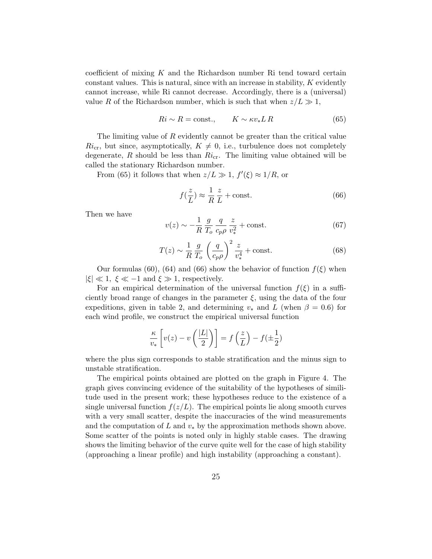coefficient of mixing  $K$  and the Richardson number Ri tend toward certain constant values. This is natural, since with an increase in stability,  $K$  evidently cannot increase, while Ri cannot decrease. Accordingly, there is a (universal) value R of the Richardson number, which is such that when  $z/L \gg 1$ ,

$$
Ri \sim R = \text{const.}, \qquad K \sim \kappa v_* L R \tag{65}
$$

The limiting value of R evidently cannot be greater than the critical value  $Ri_{\rm cr}$ , but since, asymptotically,  $K \neq 0$ , i.e., turbulence does not completely degenerate,  $R$  should be less than  $Ri_{cr}$ . The limiting value obtained will be called the stationary Richardson number.

From (65) it follows that when  $z/L \gg 1$ ,  $f'(\xi) \approx 1/R$ , or

$$
f(\frac{z}{L}) \approx \frac{1}{R} \frac{z}{L} + \text{const.}
$$
 (66)

Then we have

$$
v(z) \sim -\frac{1}{R} \frac{g}{T_o} \frac{q}{c_p \rho} \frac{z}{v_*^2} + \text{const.}
$$
 (67)

$$
T(z) \sim \frac{1}{R} \frac{g}{T_o} \left(\frac{q}{c_p \rho}\right)^2 \frac{z}{v_*^4} + \text{const.} \tag{68}
$$

Our formulas (60), (64) and (66) show the behavior of function  $f(\xi)$  when  $|\xi| \ll 1, \xi \ll -1$  and  $\xi \gg 1$ , respectively.

For an empirical determination of the universal function  $f(\xi)$  in a sufficiently broad range of changes in the parameter  $\xi$ , using the data of the four expeditions, given in table 2, and determining  $v_*$  and L (when  $\beta = 0.6$ ) for each wind profile, we construct the empirical universal function

$$
\frac{\kappa}{v_*} \left[ v(z) - v\left(\frac{|L|}{2}\right) \right] = f\left(\frac{z}{L}\right) - f(\pm \frac{1}{2})
$$

where the plus sign corresponds to stable stratification and the minus sign to unstable stratification.

The empirical points obtained are plotted on the graph in Figure 4. The graph gives convincing evidence of the suitability of the hypotheses of similitude used in the present work; these hypotheses reduce to the existence of a single universal function  $f(z/L)$ . The empirical points lie along smooth curves with a very small scatter, despite the inaccuracies of the wind measurements and the computation of L and  $v_*$  by the approximation methods shown above. Some scatter of the points is noted only in highly stable cases. The drawing shows the limiting behavior of the curve quite well for the case of high stability (approaching a linear profile) and high instability (approaching a constant).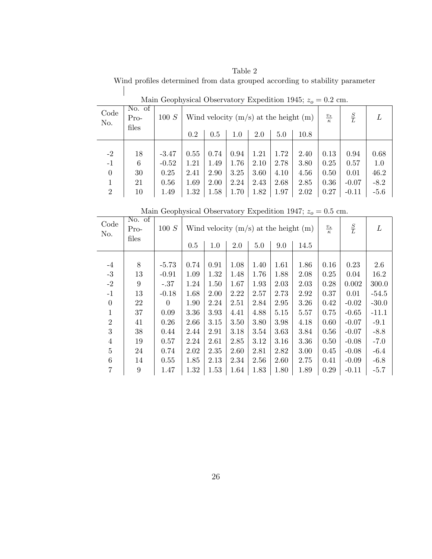Table 2 Wind profiles determined from data grouped according to stability parameter

| Code<br>No.                                | No. of<br>$Pro-$<br>files | 100 S                                      | 0.2                                  | 0.5                                  | Wind velocity $(m/s)$ at the height $(m)$<br>1.0 | $\underline{v_*}$<br>$\kappa$        | $\frac{S}{L}$                        |                                      |                                      |                                            |                                         |
|--------------------------------------------|---------------------------|--------------------------------------------|--------------------------------------|--------------------------------------|--------------------------------------------------|--------------------------------------|--------------------------------------|--------------------------------------|--------------------------------------|--------------------------------------------|-----------------------------------------|
| $-2$<br>$-1$<br>$\theta$<br>$\overline{2}$ | 18<br>6<br>30<br>21<br>10 | $-3.47$<br>$-0.52$<br>0.25<br>0.56<br>1.49 | 0.55<br>1.21<br>2.41<br>1.69<br>1.32 | 0.74<br>1.49<br>2.90<br>2.00<br>1.58 | 0.94<br>1.76<br>3.25<br>2.24<br>1.70             | 1.21<br>2.10<br>3.60<br>2.43<br>1.82 | 1.72<br>2.78<br>4.10<br>2.68<br>1.97 | 2.40<br>3.80<br>4.56<br>2.85<br>2.02 | 0.13<br>0.25<br>0.50<br>0.36<br>0.27 | 0.94<br>0.57<br>0.01<br>$-0.07$<br>$-0.11$ | 0.68<br>1.0<br>46.2<br>$-8.2$<br>$-5.6$ |

Main Geophysical Observatory Expedition 1945;  $z_0 = 0.2$  cm.

Main Geophysical Observatory Expedition 1947;  $z_0 = 0.5$  cm.

| Code<br>No.    | No. of<br>$Pro-$<br>files | 100 S    |      | Wind velocity $(m/s)$ at the height $(m)$ |      | $\frac{v_{*}}{\kappa}$ | $rac{S}{L}$ | L    |      |         |         |
|----------------|---------------------------|----------|------|-------------------------------------------|------|------------------------|-------------|------|------|---------|---------|
|                |                           |          | 0.5  | 1.0                                       | 2.0  | 5.0                    | 9.0         | 14.5 |      |         |         |
|                |                           |          |      |                                           |      |                        |             |      |      |         |         |
| $-4$           | 8                         | $-5.73$  | 0.74 | 0.91                                      | 1.08 | 1.40                   | 1.61        | 1.86 | 0.16 | 0.23    | 2.6     |
| $-3$           | 13                        | $-0.91$  | 1.09 | 1.32                                      | 1.48 | 1.76                   | 1.88        | 2.08 | 0.25 | 0.04    | 16.2    |
| $-2$           | 9                         | $-.37$   | 1.24 | 1.50                                      | 1.67 | 1.93                   | 2.03        | 2.03 | 0.28 | 0.002   | 300.0   |
| $-1$           | 13                        | $-0.18$  | 1.68 | 2.00                                      | 2.22 | 2.57                   | 2.73        | 2.92 | 0.37 | 0.01    | $-54.5$ |
| $\overline{0}$ | 22                        | $\Omega$ | 1.90 | 2.24                                      | 2.51 | 2.84                   | 2.95        | 3.26 | 0.42 | $-0.02$ | $-30.0$ |
| $\mathbf{1}$   | 37                        | 0.09     | 3.36 | 3.93                                      | 4.41 | 4.88                   | 5.15        | 5.57 | 0.75 | $-0.65$ | $-11.1$ |
| $\overline{2}$ | 41                        | 0.26     | 2.66 | 3.15                                      | 3.50 | 3.80                   | 3.98        | 4.18 | 0.60 | $-0.07$ | $-9.1$  |
| 3              | 38                        | 0.44     | 2.44 | 2.91                                      | 3.18 | 3.54                   | 3.63        | 3.84 | 0.56 | $-0.07$ | $-8.8$  |
| $\overline{4}$ | 19                        | 0.57     | 2.24 | 2.61                                      | 2.85 | 3.12                   | 3.16        | 3.36 | 0.50 | $-0.08$ | $-7.0$  |
| $\overline{5}$ | 24                        | 0.74     | 2.02 | 2.35                                      | 2.60 | 2.81                   | 2.82        | 3.00 | 0.45 | $-0.08$ | $-6.4$  |
| 6              | 14                        | 0.55     | 1.85 | 2.13                                      | 2.34 | 2.56                   | 2.60        | 2.75 | 0.41 | $-0.09$ | $-6.8$  |
| $\overline{7}$ | 9                         | 1.47     | 1.32 | 1.53                                      | 1.64 | 1.83                   | 1.80        | 1.89 | 0.29 | $-0.11$ | $-5.7$  |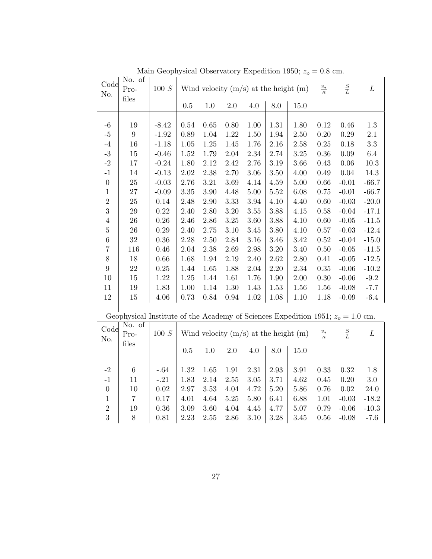| $m_{\text{out}}$ acophysical Observatory Expedition 1990, $\omega_0$ |                                                                                   |            |                                                                                      |          |            |          |          |          |                        |                |          |
|----------------------------------------------------------------------|-----------------------------------------------------------------------------------|------------|--------------------------------------------------------------------------------------|----------|------------|----------|----------|----------|------------------------|----------------|----------|
| Code<br>No.                                                          | No. of<br>Pro-                                                                    | $100\ S$   | $\frac{S}{L}$<br>$\frac{v_{*}}{\kappa}$<br>Wind velocity $(m/s)$ at the height $(m)$ |          |            |          |          |          |                        | $\cal L$       |          |
|                                                                      | files                                                                             |            | $0.5\,$                                                                              | $1.0\,$  | $2.0\,$    | $4.0\,$  | $8.0\,$  | $15.0\,$ |                        |                |          |
|                                                                      |                                                                                   |            |                                                                                      |          |            |          |          |          |                        |                |          |
| $-6$                                                                 | 19                                                                                | $-8.42$    | 0.54                                                                                 | 0.65     | 0.80       | 1.00     | 1.31     | 1.80     | 0.12                   | 0.46           | 1.3      |
| $-5$                                                                 | $9\phantom{.0}$                                                                   | $-1.92$    | $0.89\,$                                                                             | $1.04\,$ | $1.22\,$   | $1.50\,$ | 1.94     | $2.50\,$ | 0.20                   | 0.29           | $2.1\,$  |
| $^{\rm -4}$                                                          | $16\,$                                                                            | $-1.18$    | $1.05\,$                                                                             | $1.25\,$ |            | 1.76     | 2.16     | 2.58     | $0.25\,$               | 0.18           | $\!3.3$  |
| $\text{-}3$                                                          |                                                                                   |            |                                                                                      |          | 1.45       |          |          |          |                        |                |          |
|                                                                      | $15\,$                                                                            | $-0.46$    | $1.52\,$                                                                             | $1.79\,$ | $2.04\,$   | 2.34     | $2.74\,$ | $3.25\,$ | $0.36\,$               | $0.09\,$       | $6.4\,$  |
| $^{\rm -2}$                                                          | 17                                                                                | $-0.24$    | 1.80                                                                                 | 2.12     | 2.42       | 2.76     | 3.19     | 3.66     | 0.43                   | 0.06           | $10.3\,$ |
| $^{\rm -1}$                                                          | 14                                                                                | $-0.13$    | $2.02\,$                                                                             | $2.38\,$ | $2.70\,$   | 3.06     | $3.50\,$ | 4.00     | 0.49                   | 0.04           | 14.3     |
| $\boldsymbol{0}$                                                     | $25\,$                                                                            | $-0.03$    | 2.76                                                                                 | $3.21\,$ | 3.69       | 4.14     | $4.59\,$ | $5.00\,$ | 0.66                   | $-0.01$        | $-66.7$  |
| $\mathbf{1}$                                                         | $27\,$                                                                            | $-0.09$    | $3.35\,$                                                                             | $3.90\,$ | 4.48       | 5.00     | 5.52     | $6.08\,$ | 0.75                   | $-0.01$        | $-66.7$  |
| $\sqrt{2}$                                                           | $25\,$                                                                            | 0.14       | 2.48                                                                                 | $2.90\,$ | $3.33\,$   | $3.94\,$ | 4.10     | 4.40     | $0.60\,$               | $-0.03$        | $-20.0$  |
| $\boldsymbol{3}$                                                     | $\,29$                                                                            | $0.22\,$   | 2.40                                                                                 | 2.80     | $3.20\,$   | $3.55\,$ | $3.88\,$ | 4.15     | 0.58                   | $-0.04$        | $-17.1$  |
| $\,4$                                                                | $26\,$                                                                            | $0.26\,$   | $2.46\,$                                                                             | $2.86\,$ | $3.25\,$   | $3.60\,$ | $3.88\,$ | 4.10     | $0.60\,$               | $-0.05$        | $-11.5$  |
| $\bf 5$                                                              | $26\,$                                                                            | $0.29\,$   | $2.40\,$                                                                             | $2.75\,$ | $3.10\,$   | 3.45     | $3.80\,$ | 4.10     | $0.57\,$               | $-0.03$        | $-12.4$  |
| $\,6$                                                                | $32\,$                                                                            | $0.36\,$   | $2.28\,$                                                                             | $2.50\,$ | $2.84\,$   | $3.16\,$ | 3.46     | $3.42\,$ | $0.52\,$               | $-0.04$        | $-15.0$  |
| $\overline{7}$                                                       | 116                                                                               | $0.46\,$   | $2.04\,$                                                                             | $2.38\,$ | 2.69       | 2.98     | $3.20\,$ | 3.40     | $0.50\,$               | $-0.05$        | $-11.5$  |
| $8\,$                                                                | $18\,$                                                                            | $0.66\,$   | 1.68                                                                                 | $1.94\,$ | $2.19\,$   | 2.40     | $2.62\,$ | $2.80\,$ | $0.41\,$               | $-0.05$        | $-12.5$  |
| $\boldsymbol{9}$                                                     | 22                                                                                | $0.25\,$   | 1.44                                                                                 | $1.65\,$ | 1.88       | $2.04\,$ | $2.20\,$ | $2.34\,$ | $0.35\,$               | $-0.06$        | $-10.2$  |
| $10\,$                                                               | $15\,$                                                                            | $1.22\,$   | $1.25\,$                                                                             | 1.44     | 1.61       | 1.76     | 1.90     | $2.00\,$ | $0.30\,$               | $\mbox{-}0.06$ | $-9.2$   |
| $11\,$                                                               | $19\,$                                                                            | $1.83\,$   | $1.00\,$                                                                             | 1.14     | $1.30\,$   | 1.43     | $1.53\,$ | $1.56\,$ | $1.56\,$               | $-0.08$        | $-7.7$   |
| $12\,$                                                               | 15                                                                                | $4.06\,$   | $0.73\,$                                                                             | $0.84\,$ | $\rm 0.94$ | $1.02\,$ | $1.08\,$ | 1.10     | 1.18                   | $-0.09$        | $-6.4$   |
|                                                                      |                                                                                   |            |                                                                                      |          |            |          |          |          |                        |                |          |
|                                                                      | Geophysical Institute of the Academy of Sciences Expedition 1951; $z_0 = 1.0$ cm. |            |                                                                                      |          |            |          |          |          |                        |                |          |
| Code                                                                 | No. of                                                                            |            |                                                                                      |          |            |          |          |          |                        |                |          |
| No.                                                                  | $100\ S$<br>Wind velocity $(m/s)$ at the height $(m)$<br>Pro-                     |            |                                                                                      |          |            |          |          |          | $\frac{v_{*}}{\kappa}$ | $\frac{S}{L}$  | L        |
|                                                                      | files                                                                             |            |                                                                                      |          |            |          | 15.0     |          |                        |                |          |
|                                                                      |                                                                                   |            | $0.5\,$                                                                              | $1.0\,$  | $2.0\,$    | 4.0      | $8.0\,$  |          |                        |                |          |
| $-2$                                                                 | $\,6\,$                                                                           | $-.64$     | 1.32                                                                                 | 1.65     | 1.91       | $2.31\,$ | $2.93\,$ | 3.91     | 0.33                   | 0.32           | $1.8\,$  |
| $^{\rm -1}$                                                          | 11                                                                                | $-.21$     | 1.83                                                                                 | 2.14     | $2.55\,$   | $3.05\,$ | 3.71     | $4.62\,$ | 0.45                   | 0.20           | $3.0\,$  |
|                                                                      |                                                                                   |            |                                                                                      |          |            |          |          |          |                        |                |          |
| $\boldsymbol{0}$                                                     | $10\,$                                                                            | $\rm 0.02$ | $2.97\,$                                                                             | $3.53\,$ | 4.04       | 4.72     | $5.20\,$ | 5.86     | 0.76                   | 0.02           | $24.0\,$ |
| $\mathbf 1$                                                          | $\,7$                                                                             | $0.17\,$   | $4.01\,$                                                                             | $4.64\,$ | $5.25\,$   | 5.80     | 6.41     | $6.88\,$ | 1.01                   | $-0.03$        | $-18.2$  |
| $\sqrt{2}$                                                           | $19\,$                                                                            | $0.36\,$   | $3.09\,$                                                                             | $3.60\,$ | $4.04\,$   | 4.45     | 4.77     | $5.07\,$ | 0.79                   | $-0.06$        | $-10.3$  |
| 3                                                                    | $8\,$                                                                             | $0.81\,$   | $2.23\,$                                                                             | $2.55\,$ | $2.86\,$   | $3.10\,$ | $3.28\,$ | 3.45     | $0.56\,$               | $-0.08$        | $-7.6$   |

Main Geophysical Observatory Expedition 1950;  $z_o = 0.8$  cm.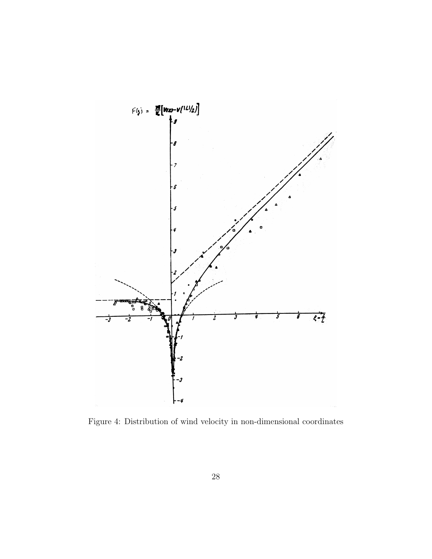

Figure 4: Distribution of wind velocity in non-dimensional coordinates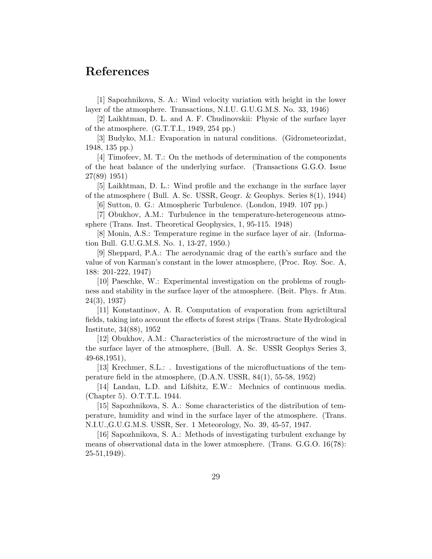#### References

[1] Sapozhnikova, S. A.: Wind velocity variation with height in the lower layer of the atmosphere. Transactions, N.I.U. G.U.G.M.S. No. 33, 1946)

[2] Laikhtman, D. L. and A. F. Chudinovskii: Physic of the surface layer of the atmosphere. (G.T.T.I., 1949, 254 pp.)

[3] Budyko, M.I.: Evaporation in natural conditions. (Gidrometeorizdat, 1948, 135 pp.)

[4] Timofeev, M. T.: On the methods of determination of the components of the heat balance of the underlying surface. (Transactions G.G.O. Issue 27(89) 1951)

[5] Laikhtman, D. L.: Wind profile and the exchange in the surface layer of the atmosphere ( Bull. A. Sc. USSR, Geogr. & Geophys. Series 8(1), 1944)

[6] Sutton, 0. G.: Atmospheric Turbulence. (London, 1949. 107 pp.)

[7] Obukhov, A.M.: Turbulence in the temperature-heterogeneous atmosphere (Trans. Inst. Theoretical Geophysics, 1, 95-115. 1948)

[8] Monin, A.S.: Temperature regime in the surface layer of air. (Information Bull. G.U.G.M.S. No. 1, 13-27, 1950.)

[9] Sheppard, P.A.: The aerodynamic drag of the earth's surface and the value of von Karman's constant in the lower atmosphere, (Proc. Roy. Soc. A, 188: 201-222, 1947)

[10] Paeschke, W.: Experimental investigation on the problems of roughness and stability in the surface layer of the atmosphere. (Beit. Phys. fr Atm. 24(3), 1937)

[11] Konstantinov, A. R. Computation of evaporation from agrictiltural fields, taking into account the effects of forest strips (Trans. State Hydrological Institute, 34(88), 1952

[12] Obukhov, A.M.: Characteristics of the microstructure of the wind in the surface layer of the atmosphere, (Bull. A. Sc. USSR Geophys Series 3, 49-68,1951),

[13] Krechmer, S.L.: . Investigations of the microfluctuations of the temperature field in the atmosphere, (D.A.N. USSR, 84(1), 55-58, 1952)

[14] Landau, L.D. and Lifshitz, E.W.: Mechnics of continuous media. (Chapter 5). O.T.T.L. 1944.

[15] Sapozhnikova, S. A.: Some characteristics of the distribution of temperature, humidity and wind in the surface layer of the atmosphere. (Trans. N.I.U.,G.U.G.M.S. USSR, Ser. 1 Meteorology, No. 39, 45-57, 1947.

[16] Sapozhnikova, S. A.: Methods of investigating turbulent exchange by means of observational data in the lower atmosphere. (Trans. G.G.O. 16(78): 25-51,1949).